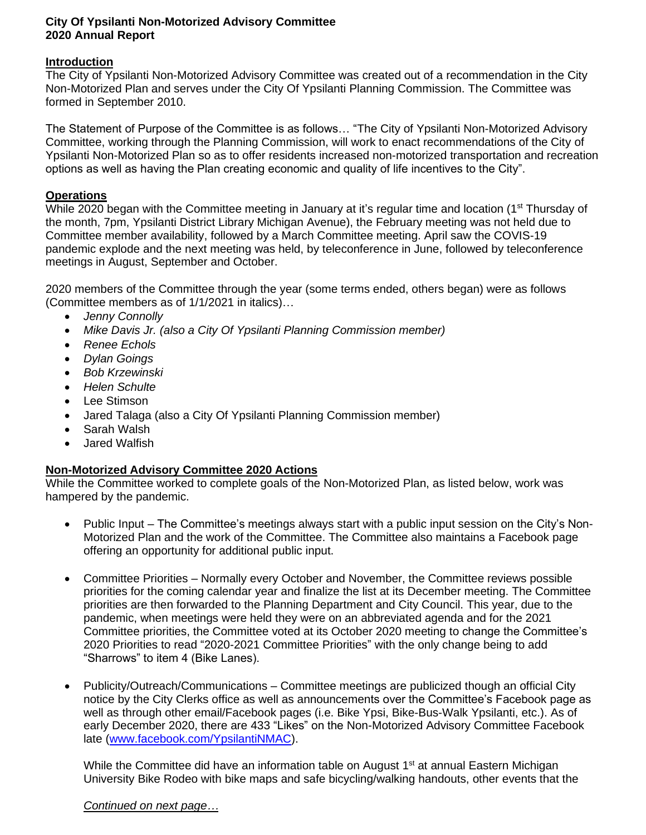## **City Of Ypsilanti Non-Motorized Advisory Committee 2020 Annual Report**

## **Introduction**

The City of Ypsilanti Non-Motorized Advisory Committee was created out of a recommendation in the City Non-Motorized Plan and serves under the City Of Ypsilanti Planning Commission. The Committee was formed in September 2010.

The Statement of Purpose of the Committee is as follows… "The City of Ypsilanti Non-Motorized Advisory Committee, working through the Planning Commission, will work to enact recommendations of the City of Ypsilanti Non-Motorized Plan so as to offer residents increased non-motorized transportation and recreation options as well as having the Plan creating economic and quality of life incentives to the City".

# **Operations**

While 2020 began with the Committee meeting in January at it's regular time and location (1<sup>st</sup> Thursday of the month, 7pm, Ypsilanti District Library Michigan Avenue), the February meeting was not held due to Committee member availability, followed by a March Committee meeting. April saw the COVIS-19 pandemic explode and the next meeting was held, by teleconference in June, followed by teleconference meetings in August, September and October.

2020 members of the Committee through the year (some terms ended, others began) were as follows (Committee members as of 1/1/2021 in italics)…

- *Jenny Connolly*
- *Mike Davis Jr. (also a City Of Ypsilanti Planning Commission member)*
- *Renee Echols*
- *Dylan Goings*
- *Bob Krzewinski*
- *Helen Schulte*
- Lee Stimson
- Jared Talaga (also a City Of Ypsilanti Planning Commission member)
- Sarah Walsh
- Jared Walfish

## **Non-Motorized Advisory Committee 2020 Actions**

While the Committee worked to complete goals of the Non-Motorized Plan, as listed below, work was hampered by the pandemic.

- Public Input The Committee's meetings always start with a public input session on the City's Non-Motorized Plan and the work of the Committee. The Committee also maintains a Facebook page offering an opportunity for additional public input.
- Committee Priorities Normally every October and November, the Committee reviews possible priorities for the coming calendar year and finalize the list at its December meeting. The Committee priorities are then forwarded to the Planning Department and City Council. This year, due to the pandemic, when meetings were held they were on an abbreviated agenda and for the 2021 Committee priorities, the Committee voted at its October 2020 meeting to change the Committee's 2020 Priorities to read "2020-2021 Committee Priorities" with the only change being to add "Sharrows" to item 4 (Bike Lanes).
- Publicity/Outreach/Communications Committee meetings are publicized though an official City notice by the City Clerks office as well as announcements over the Committee's Facebook page as well as through other email/Facebook pages (i.e. Bike Ypsi, Bike-Bus-Walk Ypsilanti, etc.). As of early December 2020, there are 433 "Likes" on the Non-Motorized Advisory Committee Facebook late [\(www.facebook.com/YpsilantiNMAC\)](http://www.facebook.com/YpsilantiNMAC).

While the Committee did have an information table on August 1<sup>st</sup> at annual Eastern Michigan University Bike Rodeo with bike maps and safe bicycling/walking handouts, other events that the

#### *Continued on next page…*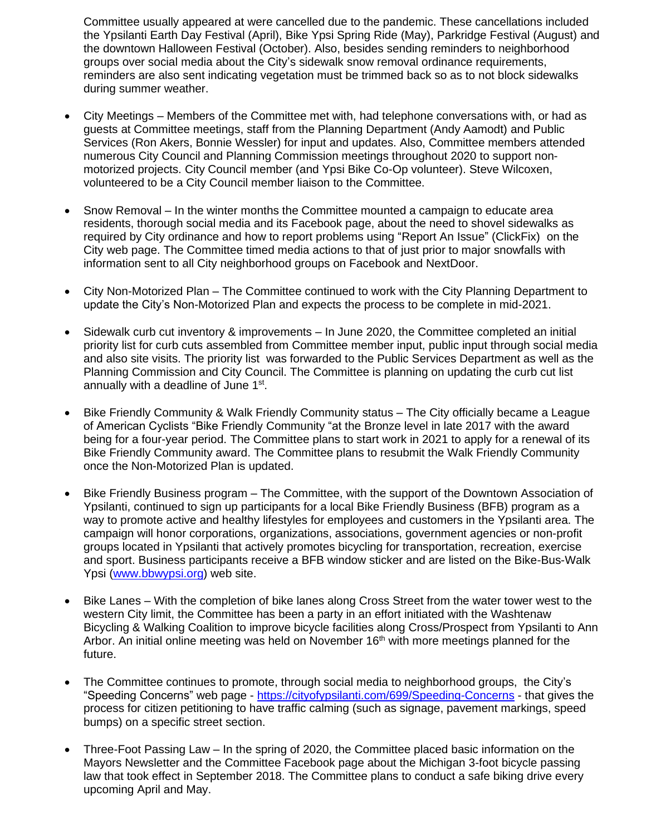Committee usually appeared at were cancelled due to the pandemic. These cancellations included the Ypsilanti Earth Day Festival (April), Bike Ypsi Spring Ride (May), Parkridge Festival (August) and the downtown Halloween Festival (October). Also, besides sending reminders to neighborhood groups over social media about the City's sidewalk snow removal ordinance requirements, reminders are also sent indicating vegetation must be trimmed back so as to not block sidewalks during summer weather.

- City Meetings Members of the Committee met with, had telephone conversations with, or had as guests at Committee meetings, staff from the Planning Department (Andy Aamodt) and Public Services (Ron Akers, Bonnie Wessler) for input and updates. Also, Committee members attended numerous City Council and Planning Commission meetings throughout 2020 to support nonmotorized projects. City Council member (and Ypsi Bike Co-Op volunteer). Steve Wilcoxen, volunteered to be a City Council member liaison to the Committee.
- Snow Removal In the winter months the Committee mounted a campaign to educate area residents, thorough social media and its Facebook page, about the need to shovel sidewalks as required by City ordinance and how to report problems using "Report An Issue" (ClickFix) on the City web page. The Committee timed media actions to that of just prior to major snowfalls with information sent to all City neighborhood groups on Facebook and NextDoor.
- City Non-Motorized Plan The Committee continued to work with the City Planning Department to update the City's Non-Motorized Plan and expects the process to be complete in mid-2021.
- Sidewalk curb cut inventory & improvements In June 2020, the Committee completed an initial priority list for curb cuts assembled from Committee member input, public input through social media and also site visits. The priority list was forwarded to the Public Services Department as well as the Planning Commission and City Council. The Committee is planning on updating the curb cut list annually with a deadline of June 1<sup>st</sup>.
- Bike Friendly Community & Walk Friendly Community status The City officially became a League of American Cyclists "Bike Friendly Community "at the Bronze level in late 2017 with the award being for a four-year period. The Committee plans to start work in 2021 to apply for a renewal of its Bike Friendly Community award. The Committee plans to resubmit the Walk Friendly Community once the Non-Motorized Plan is updated.
- Bike Friendly Business program The Committee, with the support of the Downtown Association of Ypsilanti, continued to sign up participants for a local Bike Friendly Business (BFB) program as a way to promote active and healthy lifestyles for employees and customers in the Ypsilanti area. The campaign will honor corporations, organizations, associations, government agencies or non-profit groups located in Ypsilanti that actively promotes bicycling for transportation, recreation, exercise and sport. Business participants receive a BFB window sticker and are listed on the Bike-Bus-Walk Ypsi [\(www.bbwypsi.org\)](http://www.bbwypsi.org/) web site.
- Bike Lanes With the completion of bike lanes along Cross Street from the water tower west to the western City limit, the Committee has been a party in an effort initiated with the Washtenaw Bicycling & Walking Coalition to improve bicycle facilities along Cross/Prospect from Ypsilanti to Ann Arbor. An initial online meeting was held on November 16<sup>th</sup> with more meetings planned for the future.
- The Committee continues to promote, through social media to neighborhood groups, the City's "Speeding Concerns" web page - <https://cityofypsilanti.com/699/Speeding-Concerns> - that gives the process for citizen petitioning to have traffic calming (such as signage, pavement markings, speed bumps) on a specific street section.
- Three-Foot Passing Law In the spring of 2020, the Committee placed basic information on the Mayors Newsletter and the Committee Facebook page about the Michigan 3-foot bicycle passing law that took effect in September 2018. The Committee plans to conduct a safe biking drive every upcoming April and May.